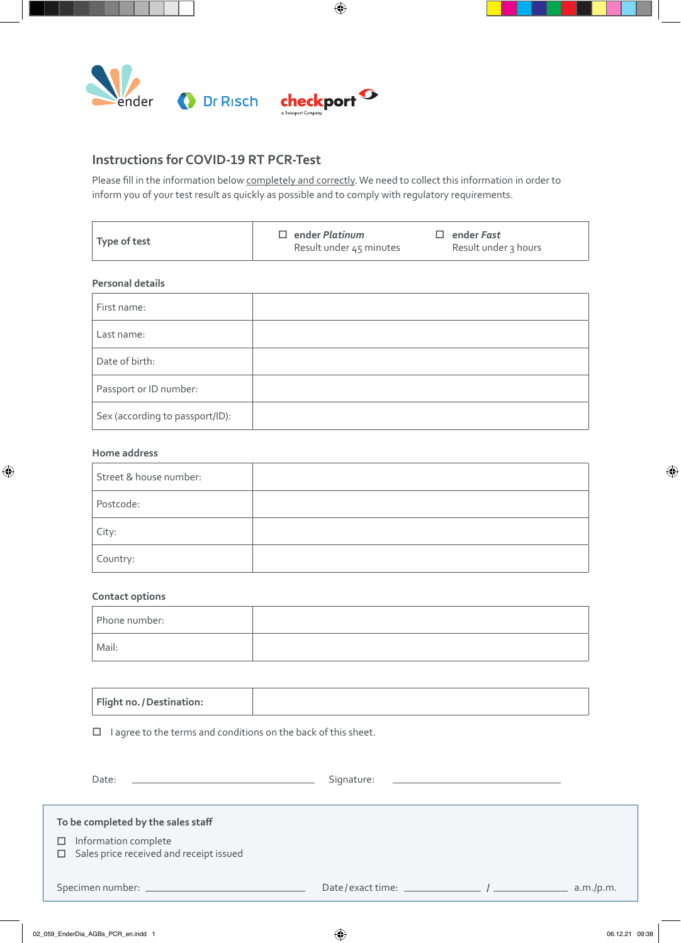

## **Instructions for COVID-19 RT PCR-Test**

Please fill in the information below completely and correctly. We need to collect this information in order to inform you of your test result as quickly as possible and to comply with regulatory requirements.

 $\bigoplus$ 

| Type of test<br>Result under 3 hours<br>Result under 45 minutes |  | $\square$ ender Platinum | $\square$ ender Fast |
|-----------------------------------------------------------------|--|--------------------------|----------------------|
|-----------------------------------------------------------------|--|--------------------------|----------------------|

## **Personal details**

| First name:                     |  |
|---------------------------------|--|
| Last name:                      |  |
| Date of birth:                  |  |
| Passport or ID number:          |  |
| Sex (according to passport/ID): |  |

## **Home address**

 $\bigoplus$ 

| Street & house number: |  |
|------------------------|--|
| Postcode:              |  |
| City:                  |  |
| Country:               |  |

## **Contact options**

| Phone number: |  |
|---------------|--|
| Mail:         |  |

| Flight no. / Destination: |
|---------------------------|
|---------------------------|

 $\Box$  I agree to the terms and conditions on the back of this sheet.

| Date:                                                                                                               | Signature:<br><u> 1989 - Andrea State Barbara, amerikan personal di sebagai personal di sebagai personal di sebagai personal d</u> |           |
|---------------------------------------------------------------------------------------------------------------------|------------------------------------------------------------------------------------------------------------------------------------|-----------|
| To be completed by the sales staff<br>$\Box$ Information complete<br>$\Box$ Sales price received and receipt issued |                                                                                                                                    |           |
|                                                                                                                     |                                                                                                                                    | a.m./p.m. |

⊕